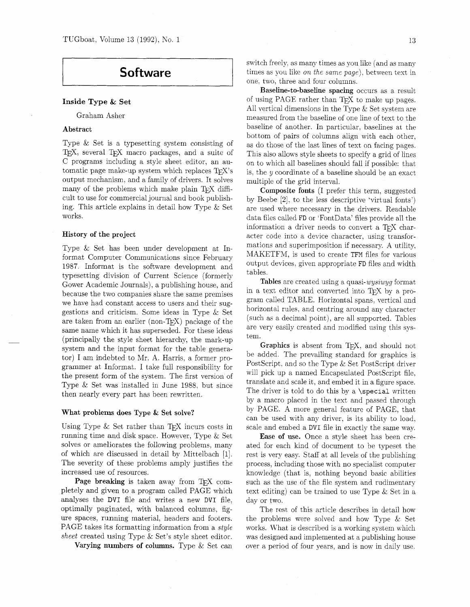# **Software**

# **Inside Type** & **Set**

Graham Asher

#### **Abstract**

Type & Set is a typesetting system consisting of TEX, several TEX macro packages, and a suite of C programs including a style sheet editor, an automatic page make-up system which replaces  $T_F X$ 's output mechanism, and a family of drivers. It solves many of the problems which make plain  $T_FX$  difficult to use for commercial journal and book publishing. This article explains in detail how Type & Set works.

#### **History of the project**

Type & Set has been under development at Informat Computer Communications since February 1987. Informat is the software development and typesetting division of Current Science (formerly Gower Academic Journals), a publishing house, and because the two companies share the same premises we have had constant access to users and their suggestions and criticism. Some ideas in Type & Set are taken from an earlier (non-TEX) package of the same name which it has superseded. For these ideas (principally the style sheet hierarchy, the mark-up system and the input format for the table generator) I am indebted to Mr. A. Harris, a former programmer at Informat. I take full responsibility for the present form of the system. The first version of Type & Set was installed in June 1988. but since then nearly every part has been rewritten.

#### **What problems does Type** & **Set solve?**

Using Type & Set rather than TEX incurs costs in running time and disk space. However, Type & Set solves or ameliorates the following problems, many of which are discussed in detail by Mittelbach [I]. The severity of these problems amply justifies the increased use of resources.

Page breaking is taken away from TEX completely and given to a program called PAGE which analyses the DVI file and writes a new DVI file. optimally paginated, with balanced columns, figure spaces, running material, headers and footers. PAGE takes its formatting information from a *style sheet* created using Type & Set's style sheet editor.

**Varying numbers of columns.** Type & Set can

switch freely, as many times as you like (and as many times as you like on *the same page).* between text in one. two, three and four columns.

**Baseline-to-baseline spacing** occurs as a result of using PAGE rather than TEX to make up pages. All vertical dimensions in the Type & Set system are measured from the baseline of one line of text to the baseline of another. In particular. baselines at the bottom of pairs of columns align with each other, as do those of the last lines of text on facing pages. This also allows style sheets to specify a grid of lines on to which all baselines should fall if possible: that is, the y coordinate of a baseline should be an exact multiple of the grid interval.

**Composite fonts** (I prefer this term, suggested by Beebe *[2].* to the less descriptive 'virtuai fonts') are used where necessary in the drivers. Readable data files called FD or 'FontData' files provide all the information a driver needs to convert a TFX character code into a device character, using transformations and superimposition if necessary. A utility. MAKETFM, is used to create TFM files for various output devices, given appropriate FD files and width tables.

**Tables** are created using a quasi-wysiwyg format in a text editor and converted into T<sub>E</sub>X by a program called TABLE. Horizontal spans, vertical and horizontal rules, and centring around any character (such as a decimal point), are all supported. Tables are very easily created and modified using this system.

**Graphics** is absent from TEX, and should not be added. The prevailing standard for graphics is PostScript, and so the Type & Set PostScript driver will pick up a named Encapsulated PostScript file, translate and scale it, and embed it in a figure space. The driver is told to do this by a  $\simeq$  special written by a macro placed in the text and passed through by PAGE. A more general feature of PAGE, that can be used with any driver, is its ability to load, scale and embed a DVI file in exactly the same way.

**Ease of use.** Once a style sheet has been created for each kind of document to be typeset the rest is very easy. Staff at all levels of the publishing process, including those with no specialist computer knowledge (that is, nothing beyond basic abilities such as the use of the file system and rudimentary text editing) can be trained to use Type & Set in a day or two.

The rest of this article describes in detail how the problems were solved and how Type & Set works. What is described is a working system which was designed and implemented at a publishing house over a period of four years, and is now in daily use.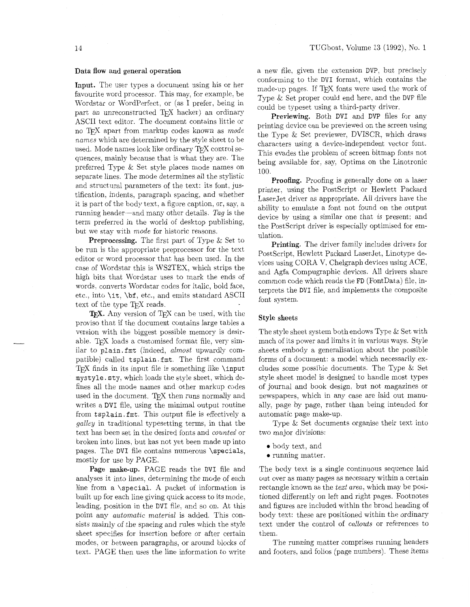## 14 TCGboat, Volume 13 (1992), No. 1

## Data flow and general operation

Input. The user types a document using his or her favourite word processor. This may. for example. be Wordstar or WordPerfect, or (as I prefer, being in part an unreconstructed T<sub>F</sub>X hacker) an ordinary ASCII text editor. The document contains little or no TEX apart from markup codes known as *mode names* which are determined by the style sheet to be used. Mode names look like ordinary TFX control sequences. mainly because that is what they are. The preferred Type & Set style places mode names on separate lines. The mode determines all the stylistic and structural parameters of the text: its font, justification, indents. paragraph spacing, and whether it is part of the body text. a figure caption, or, say. a running header-and many other details. *Tag* is the term preferred in the world of desktop publishing, but we stay with *mode* for historic reasons.

Preprocessing. The first part of Type & Set to be run is the appropriate preprocessor for the text editor or word processor that has been used. In the case of Wordstar this is WS2TEX. which strips the high bits that Wordstar uses to mark the ends of words. converts Wordstar codes for italic, bold face, etc., into \it. \bf. etc., and emits standard ASCII text of the type T<sub>F</sub>X reads.

T<sub>F</sub>X. Any version of T<sub>F</sub>X can be used, with the proviso that if the document contains large tables a version with the biggest possible memory is desirable. TFX loads a customised format file, very similar to plain. fmt (indeed, *almost* upwardly compatible) called tsplain.fmt. The first command T<sub>EX</sub> finds in its input file is something like  $\infty$ mystyle. sty, which loads the style sheet, which defines all the mode names and other markup codes used in the document. TFX then runs normally and writes a DVI file, using the minimal output routine from tsplain. fmt. This output file is effectively a *galley* in traditional typesetting terms, in that the text has been set in the desired fonts and *counted* or broken into lines, but has not yet been made up into pages. The DVI file contains numerous \specials, mostly for use by PAGE.

Page make-up. PAGE reads the DVI file and analyses it into lines. determining the mode of each line from a \special. A packet of information is built up for each line giving quick access to its mode, leading, position in the DVI file, and so on. At this point any *automatic material* is added. This consists mainly of the spacing and rules which the style sheet specifies for insertion before or after certain modes. or between paragraphs, or around blocks of text. PAGE then uses the line information to write a new file, given the extension DVP, but precisely conforming to the DVI format, which contains the made-up pages. If TEX fonts were used the work of Type & Set proper could end here, and the DVP file could be typeset using a third-party driver.

Previewing. Both DVI and DVP files for any printing device can be previewed on the screen using the Type & Set previewer, DVISCR. which draws characters using a device-independent vector font. This evades the problem of screen bitmap fonts not being available for, say, Optima on the Linotronic 100.

Proofing. Proofing is generally done on a laser printer, using the PostScript or Hewlett Packard LaserJet driver as appropriate. All drivers have the ability to emulate a font not found on the output device by using a similar one that *is* present: and the PostScript driver is especially optimised for emulation.

Printing. The driver family includes drivers for PostScript, Hewlett Packard LaserJet, Linotype devices using CORA V, Chelgraph devices using ACE, and Agfa Compugraphic devices. All drivers share common code which reads the FD (FontData) file, interprets the DVI file, and implements the composite font system.

#### Style sheets

The style sheet system both endows Type & Set with much of its power and limits it in various ways. Style sheets embody a generalisation about the possible forms of a document: a model which necessarily excludes some possible documents. The Type & Set style sheet model is designed to handle most types of journal and book design. but not magazines or newspapers, which in any case are laid out manually, page by page, rather than being intended for automatic page make-up.

Type & Set documents organise their text into two major divisions:

- **0** body text, and
- **0** running matter

The body text is a single continuous sequence laid out over as many pages as necessary within a certain rectangle known as the *text area,* which may be positioned differently on left and right pages. Footnotes and figures are included within the broad heading of body text: these are positioned within the ordinary text under the control of *callouts* or references to them.

The running matter comprises running headers and footers, and folios (page numbers). These items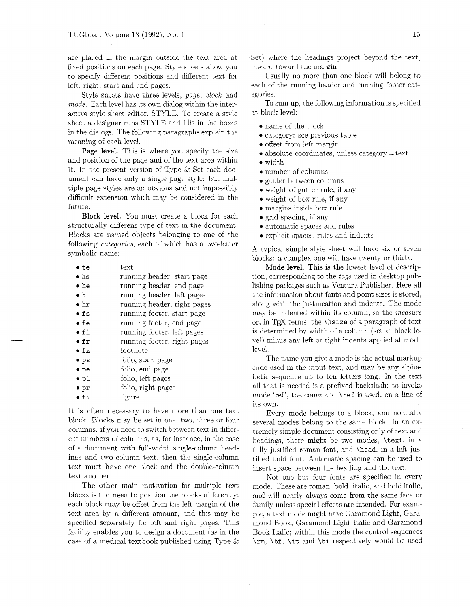are placed in the margin outside the text area at fixed positions on each page. Style sheets allow you to specify different positions and different text for left, right, start and end pages.

Style sheets have three levels, page, block and mode. Each level has its own dialog within the interactive style sheet editor, STYLE. To create a style sheet a designer runs STYLE and fills in the boxes in the dialogs. The following paragraphs explain the meaning of each level.

**Page level.** This is where you specify the size and position of the page and of the text area within it. In the present version of Type & Set each document can have only a single page style: but multiple page styles are an obvious and not impossibly difficult extension which may be considered in the future.

Block **level.** You must create a block for each structurally different type of text in the document. Blocks are named objects belonging to one of the following *categories*, each of which has a two-letter symbolic name:

| • te            | text                        |
|-----------------|-----------------------------|
| $\bullet$ hs    | running header, start page  |
| $\bullet$ he    | running header, end page    |
| $\bullet$ hl    | running header, left pages  |
| $\bullet$ hr    | running header, right pages |
| $\bullet$ fs    | running footer, start page  |
| $\bullet$ fe    | running footer, end page    |
| $\bullet$ fl    | running footer, left pages  |
| $\bullet$ fr    | running footer, right pages |
| • fn            | footnote                    |
| • <sub>ps</sub> | folio, start page           |
| $\bullet$ pe    | folio, end page             |
| $\bullet$ pl    | folio, left pages           |
| $\bullet$ pr    | folio, right pages          |
| • fi            | figure                      |

It is often necessary to have more than one text block. Blocks may be set in one, two, three or four columns: if you need to switch between text in different numbers of columns, as, for instance, in the case of a document with full-width single-column headings and two-column text, then the single-column text must have one block and the double-column text another.

The other main motivation for multiple text blocks is the need to position the blocks differently: each block may be offset from the left margin of the text area by a different amount, and this may be specified separately for left and right pages. This facility enables you to design a document (as in the case of a medical textbook published using Type & Set) where the headings project beyond the text, inward toward the margin.

Usually no more than one block will belong to each of the running header and running footer categories.

To sum up, the following information is specified at block level:

- **0** name of the block
- **0** category: see previous table
- **0** offset from left margin
- absolute coordinates, unless category = text
- **0** width
- **0** number of columns
- **0** gutter between columns
- **0** weight of gutter rule, if any
- **0** weight of box rule, if any
- **0** margins inside box rule
- **0** grid spacing, if any
- **0** automatic spaces and rules
- explicit spaces, rules and indents

A typical simple style sheet will have six or seven blocks: a complex one will have twenty or thirty.

**Mode level.** This is the lowest level of description, corresponding to the tags used in desktop publishing packages such as Ventura Publisher. Here all the information about fonts and point sizes is stored, along with the justification and indents. The mode may be indented within its column, so the measure or, in **5Y** terms, the \hsize of a paragraph of text is determined by width of a column (set at block level) minus any left or right indents applied at mode level.

The name you give a mode is the actual markup code used in the input text, and may be any alphabetic sequence up to ten letters long. In the text all that is needed is a prefixed backslash: to invoke mode 'ref', the command **\ref** is used, on a line of its own.

Every mode belongs to a block, and normally several modes belong to the same block. In an extremely simple document consisting only of text and headings, there might be two modes, \text, in a fully justified roman font, and **\head**, in a left justified bold font. Automatic spacing can be used to insert space between the heading and the text.

Not one but four fonts are specified in every mode. These are roman, bold, italic, and bold italic, and will nearly always come from the same face or family unless special effects are intended. For example, a text mode might have Garamond Light, Garamond Book, Garamond Light Italic and Garamond Book Italic; within this mode the control sequences \rm, \bf, \it and \bi respectively would be used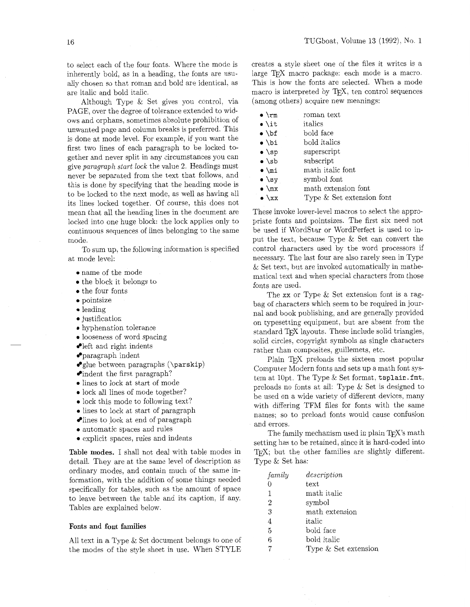to select each of the four fonts. Where the mode is inherently bold, as in a heading, the fonts are usually chosen so that roman and bold are identical, as are italic and bold italic.

Although Type & Set gives you control, via PAGE, over the degree of tolerance extended to widows and orphans, sometimes absolute prohibition of unwanted page and column breaks is preferred. This is done at mode level. For example, if you want the first two lines of each paragraph to be locked together and never split in any circumstances you can give *paragraph start lock* the value 2. Headings must never be separated from the text that follows, and this is done by specifying that the heading mode is to be locked to the next mode, as well as having all its lines locked together. Of course, this does not mean that all the heading lines in the document are locked into one huge block: the lock applies only to continuous sequences of lines belonging to the same mode.

To sum up. the following information is specified at mode level:

- 0 name of the mode
- the block it belongs to
- $\bullet$  the four fonts
- 0 pointsize
- $\bullet$  leading
- justification
- 0 hyphenation tolerance
- 0 looseness of word spacing
- left and right indents
- paragraph indent
- $\bullet$ glue between paragraphs (\parskip)
- indent the first paragraph?
- 0 lines to lock at start of mode
- lock all lines of mode together?
- 0 lock this mode to following text?
- lines to lock at start of paragraph
- $\bullet$  lines to lock at end of paragraph
- 0 automatic spaces and rules
- 0 explicit spaces, rules and indents

Table modes. I shall not deal with table modes in detail. They are at the same level of description as ordinary modes, and contain much of the same information, with the addition of some things needed specifically for tables, such as the amount of space to leave between the table and its caption. if any. Tables are explained below.

## Fonts and font families

All text in a Type & Set document belongs to one of the modes of the style sheet in use. When STYLE

creates a style sheet one of the files it writes is a large  $T_F X$  macro package: each mode is a macro. This is how the fonts are selected. When a mode macro is interpreted by T<sub>E</sub>X, ten control sequences (among others) acquire new meanings:

| $\bullet$ \rm    | roman text                |
|------------------|---------------------------|
| $\bullet$ \it    | italics                   |
| $\bullet$ \bf    | bold face                 |
| $\bullet$ \bi    | bold italics              |
| $\bullet$ \sp    | superscript               |
| $\bullet$ \sb    | subscript                 |
| $\bullet$ \mi    | math italic font          |
| $\bullet$ \sy    | symbol font               |
| $\bullet$ \mx    | math extension font       |
| $\bullet \ \{xx$ | Type & Set extension font |

These invoke lower-level macros to select the appropriate fonts and pointsizes. The first six need not be used if WordStar or WordPerfect is used to input the text, because Type & Set can convert the control characters used by the word processors if necessary. The last four are also rarely seen in Type & Set text, but are invoked automatically in mathematical text and when special characters from those fonts are used.

The xx or Type & Set extension font is a ragbag of characters which seem to be required in journal and book publishing, and are generally provided on typesetting equipment, but are absent from the standard TFX layouts. These include solid triangles, solid circles. copyright symbols as single characters rather than composites, guillemets, etc.

Plain T<sub>F</sub>X preloads the sixteen most popular Computer Modern fonts and sets up a math font system at 10pt. The Type & Set format, tsplain.fmt, preloads no fonts at all: Type & Set is designed to be used on a wide variety of different devices, many with differing TFM files for fonts with the same names; so to preload fonts would cause confusion and errors.

The family mechanism used in plain  $T_F X$ 's math setting has to be retained, since it is hard-coded into TFX; but the other families are slightly different. Type & Set has:

| family         | description          |
|----------------|----------------------|
| 0              | text                 |
| 1              | math italic          |
| $\overline{2}$ | symbol               |
| 3              | math extension       |
| $\overline{4}$ | italic               |
| 5              | bold face            |
| 6              | bold italic          |
|                | Type & Set extension |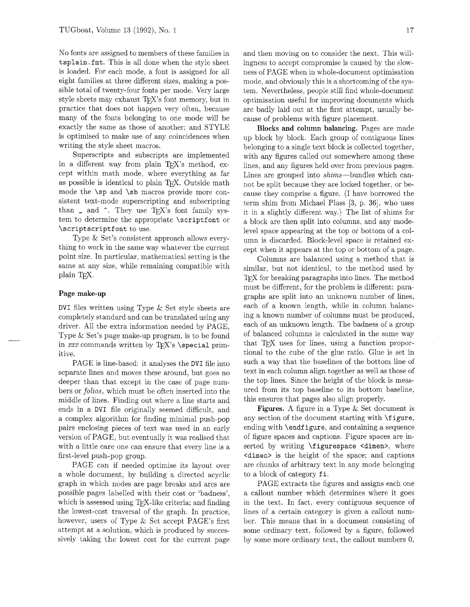No fonts are assigned to members of these families in tsplain. fmt. This is all done when the style sheet is loaded. For each mode, a font is assigned for all eight families at three different sizes, making a possible total of twenty-four fonts per mode. Very large style sheets may exhaust  $T_FX$ 's font memory, but in practice that does not happen very often, because many of the fonts belonging to one mode will be exactly the same as those of another: and STYLE is optimised to make use of any coincidences when writing the style sheet macros.

Superscripts and subscripts are implemented in a different way from plain TFX's method, except within math mode, where everything as far as possible is identical to plain TEX. Outside math mode the \sp and \sb macros provide more consistent text-mode superscripting and subscripting than  $\Box$  and  $\hat{ }$ . They use T<sub>F</sub>X's font family system to determine the appropriate \scriptfont or \scriptscriptfont to use.

Type & Set's consistent approach allows everything to work in the same way whatever the current point size. In particular. mathematical setting is the same at any size, while remaining compatible with plain T<sub>E</sub>X.

#### **Page make-up**

DVI files written using Type & Set style sheets are completely standard and can be translated using any driver. All the extra information needed by PAGE, Type & Set's page make-up program, is to be found in  $xxx$  commands written by TEX's \special primitive.

PAGE is line-based: it analyses the DVI file into separate lines and moves these around, but goes no deeper than that except in the case of page numbers or *folios*, which must be often inserted into the middle of lines. Finding out where a line starts and ends in a DVI file originally seemed difficult, and a complex algorithm for finding minimal push-pop pairs enclosing pieces of text was used in an early version of PAGE, but eventually it was realised that with a little care one can ensure that every line is a first-level push-pop group.

PAGE can if needed optimise its layout over a whole document, by building a directed acyclic graph in which nodes are page breaks and arcs are possible pages labelled with their cost or 'badness', which is assessed using  $Tr[X\text{-}like\,c\,r\,c\,r\,c\,r\,c\,r\,c\,r\,c\,r\,c\,r\,c\,r\,c\,r\,c\,r\,c\,r\,c\,r\,c\,r\,c\,r\,c\,r\,c\,r\,c\,r\,c\,r\,c\,r\,c\,r\,c\,r\,c\,r\,c\,r\,c\,r\,c\,r\,c\,r\,c\,r\,c\,r\,c\,r\,c\,r\,c\,r\,c$ the lowest-cost traversal of the graph. In practice, however, users of Type & Set accept PAGE'S first attempt at a solution, which is produced by successively taking the lowest cost for the current page

and then moving on to consider the next. This willingness to accept compromise is caused by the slowness of PAGE when in whole-document optimisation mode. and obviously this is a shortcoming of the system. Nevertheless, people still find whole-document optimisation useful for improving documents which are badly laid out at the first attempt, usually because of problems with figure placement.

**Blocks** and **column balancing.** Pages are made up block by block. Each group of contiguous lines belonging to a single text block is collected together, with any figures called out somewhere among these lines, and any figures held over from previous pages. Lines are grouped into shims-bundles which cannot be split because they are locked together. or because they comprise a figure. (I have borrowed the term shim from Michael Plass  $[3, p. 36]$ , who uses it in a slightly different way.) The list of shims for a block are then split into columns, and any modelevel space appearing at the top or bottom of a column is discarded. Block-level space is retained except when it appears at the top or bottom of a page.

Columns are balanced using a method that is similar, but not identical, to the method used by T<sub>F</sub>X for breaking paragraphs into lines. The method must be different, for the problem is different: paragraphs are split into an unknown number of lines, each of a known length, while in column balancing a known number of columns must be produced, each of an unknown length. The badness of a group of balanced columns is calculated in the same way that T<sub>F</sub>X uses for lines, using a function proportional to the cube of the glue ratio. Glue is set in such a way that the baselines of the bottom line of text in each column align together as well as those of the top lines. Since the height of the block is measured from its top baseline to its bottom baseline, this ensures that pages also align properly.

**Figures.** A figure in a Type & Set document is any section of the document starting with \figure, ending with **\endfigure**, and containing a sequence of figure spaces and captions. Figure spaces are inserted by writing  $\langle$  figurespace <dimen>, where <dimen> is the height of the space; and captions are chunks of arbitrary text in any mode belonging to a block of category fi.

PAGE extracts the figures and assigns each one a callout number which determines where it goes in the text. In fact, every contiguous sequence of lines of a certain category is given a callout number. This means that in a document consisting of some ordinary text, followed by a figure, followed by some more ordinary text, the callout numbers 0,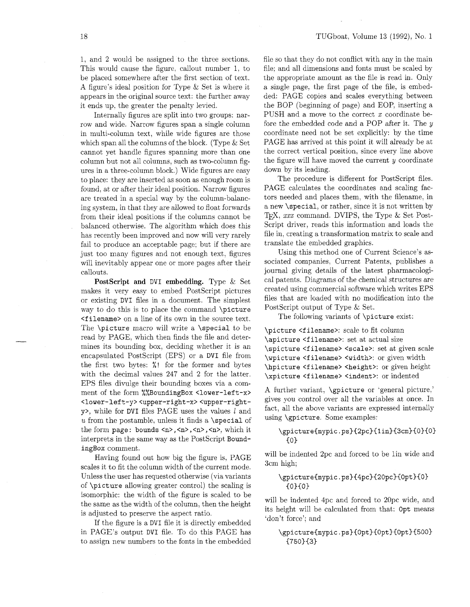1. and 2 would be assigned to the three sections. This would cause the figure, callout number 1. to be placed somewhere after the first section of text. A figure's ideal position for Type & Set is where it appears in the original source text: the further away it ends up. the greater the penalty levied.

Internally figures are split into two groups: narrow and wide. Narrow figures span a single column in multi-column text, while wide figures are those which span all the columns of the block. (Type & Set cannot yet handle figures spanning more than one column but not all columns, such as two-column figures in a three-column block.) Wide figures are easy to place: they are inserted as soon as enough room is found, at or after their ideal position. Narrow figures are treated in a special way by the column-balancing system, in that they are allowed to float forwards from their ideal positions if the columns cannot be balanced otherwise. The algorithm which does this has recently been improved and now will very rarely fail to produce an acceptable page; but if there are just too many figures and not enough text, figures will inevitably appear one or more pages after their callouts.

**PostScript and** DVI **embedding.** Type & Set makes it very easy to embed PostScript pictures or existing DVI files in a document. The simplest way to do this is to place the command \picture <filename> on a line of its own in the source text. The \picture macro will write a \special to be read by PAGE. which then finds the file and determines its bounding box, deciding whether it is an encapsulated PostScript (EPS) or a DVI file from the first two bytes: %! for the former and bytes with the decimal values 247 and 2 for the latter. EPS files divulge their bounding boxes via a comment of the form %%BoundingBox <lower-left-x> **<lower-left-y><upper-right-x>** <upper-righty>, while for DVI files PAGE uses the values  $l$  and u from the postamble, unless it finds a  $\simeq$ the form page: bounds <n>,<n>,<n>,<n>,<n>, which it interprets in the same way as the PostScript BoundingBox comment.

Having found out how big the figure is, PAGE scales it to fit the column width of the current mode. Unless the user has requested otherwise (via variants of \picture allowing greater control) the scaling is isomorphic: the width of the figure is scaled to be the same as the width of the column, then the height is adjusted to preserve the aspect ratio.

If the figure is a DVI file it is directly embedded in PAGE'S output DVI file. To do this PAGE has to assign new numbers to the fonts in the embedded file so that they do not conflict with any in the main file; and all dimensions and fonts must be scaled by the appropriate amount as the file is read in. Only a single page, the first page of the file, is embedded: PAGE copies and scales everything between the BOP (beginning of page) and EOP, inserting a PUSH and a move to the correct x coordinate before the embedded code and a POP after it. The y coordinate need not be set explicitly: by the time PAGE has arrived at this point it will already be at the correct vertical position, since every line above the figure will have moved the current  $y$  coordinate down by its leading.

The procedure is different for PostScript files. PAGE calculates the coordinates and scaling factors needed and places them, with the filename, in a new \special, or rather, since it is not written by TFX,  $xxx$  command. DVIPS, the Type  $&$  Set Post-Script driver, reads this information and loads the file in. creating a transformation matrix to scale and translate the embedded graphics.

Using this method one of Current Science's associated companies, Current Patents, publishes a journal giving details of the latest pharmacological patents. Diagrams of the chemical structures are created using commercial software which writes EPS files that are loaded with no modification into the PostScript output of Type & Set.

The following variants of \picture exist:

\picture <filename>: scale to fit column \apicture <filename>: set at actual size \spicture <filename> <scale>: set at given scale \wpicture <filename> <width>: or given width \hpicture <filename> <height>: or given height \xpicture <filename> <indent>: or indented

A further variant, \gpicture or 'general picture,' gives you control over all the variables at once. In fact, all the above variants are expressed internally using \gpicture. Some examples:

```
\gpicture{mypic.ps}{2pc}{1in}{3cm}{0}{0}
 {0}
```
will be indented 2pc and forced to be lin wide and 3cm high;

## \gpicture{mypic.ps}{4pc}{20pc}{0pt}{0}  ${0}$  ${0}$

will be indented 4pc and forced to 20pc wide, and its height will be calculated from that: Opt means 'don't force'; and

```
\gpicture{mypic.ps}{Opt}{Opt}{Opt}{500}
 {750}{3}
```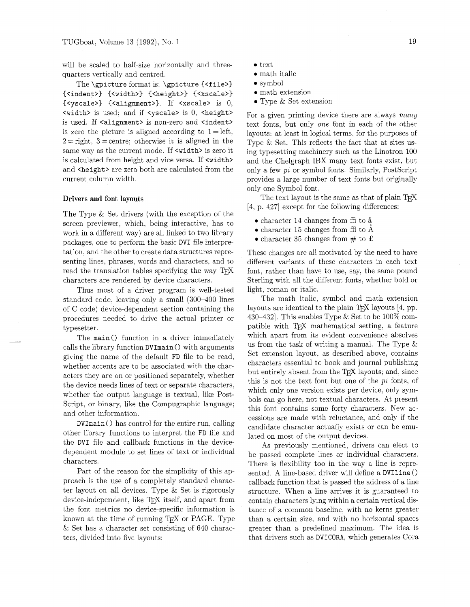will be scaled to half-size horizontally and threequarters vertically and centred.

The \gpicture format is: \gpicture {<file>} {<indent>) (<width>) {<height>) {<xscale>) {<yscale>l {<alignment>). If <xscale> is 0,  $\langle \text{width} \rangle$  is used; and if  $\langle \text{pseudo} \rangle$  is 0,  $\langle \text{height} \rangle$ is used. If <alignment> is non-zero and <indent> is zero the picture is aligned according to  $1 = left$ ,  $2 =$  right,  $3 =$  centre; otherwise it is aligned in the same way as the current mode. If  $\leq$  vidth> is zero it is calculated from height and vice versa. If <width> and <height> are zero both are calculated from the current column width.

### **Drivers and** font layouts

The Type & Set drivers (with the exception of the screen previewer, which, being interactive, has to work in a different way) are all linked to two library packages, one to perform the basic DVI file interpretation, and the other to create data structures representing lines, phrases, words and characters, and to read the translation tables specifying the way characters are rendered by device characters.

Thus most of a driver program is well-tested standard code, leaving only a small (300-400 lines of C code) device-dependent section containing the procedures needed to drive the actual printer or typesetter.

The main() function in a driver immediately calls the library function DVImain () with arguments giving the name of the default FD file to be read, whether accents are to be associated with the characters they are on or positioned separately, whether the device needs lines of text or separate characters. whether the output language is textual, like Post-Script, or binary, like the Compugraphic language; and other information.

DVImain () has control for the entire run, calling other library functions to interpret the FD file and the DVI file and callback functions in the devicedependent module to set lines of text or individual characters.

Part of the reason for the simplicity of this approach is the use of a completely standard character layout on all devices. Type & Set is rigorously device-independent, like T<sub>F</sub>X itself, and apart from the font metrics no device-specific information is known at the time of running  $T_FX$  or PAGE. Type & Set has a character set consisting of 640 characters, divided into five layouts:

- text
- $\bullet$  math italic
- symbol
- **0** math extension
- Type & Set extension

For a given printing device there are always many text fonts, but only one font in each of the other layouts: at least in logical terms, for the purposes of Type & Set. This reflects the fact that at sites using typesetting machinery such as the Linotron 100 and the Chelgraph IBX many text fonts exist, but only a few pi or symbol fonts. Similarly, PostScript provides a large number of text fonts but originally only one Symbol font.

The text layout is the same as that of plain T<sub>F</sub>X [4, p. 4271 except for the following differences: **<sup>0</sup>**character 14 changes from ffi to **i** 

- 
- $\bullet$  character 15 changes from ffl to  $\overline{A}$
- character 35 changes from  $\#$  to £

These changes are all motivated by the need to have different variants of these characters in each text font, rather than have to use, say. the same pound Sterling with all the different fonts, whether bold or light, roman or italic.

The math italic, symbol and math extension layouts are identical to the plain T<sub>F</sub>X layouts  $[4, pp.$ 430-432]. This enables Type & Set to be  $100\%$  compatible with T<sub>EX</sub> mathematical setting, a feature which apart from its evident convenience absolves us from the task of writing a manual. The Type & Set extension layout, as described above, contains characters essential to book and journal publishing but entirely absent from the T<sub>E</sub>X layouts; and, since this is not the text font but one of the *pi* fonts, of which only one version exists per device, only symbols can go here, not textual characters. At present this font contains some forty characters. New accessions are made with reluctance, and only if the candidate character actually exists or can be emulated on most of the output devices.

As previously mentioned, drivers can elect to be passed complete lines or individual characters. There is flexibility too in the way a line is represented. A line-based driver will define a DVIline () callback function that is passed the address of a line structure. When a line arrives it is guaranteed to contain characters lying within a certain vertical distance of a common baseline, with no kerns greater than a certain size, and with no horizontal spaces greater than a predefined maximum. The idea is that drivers such as DVICORA, which generates Cora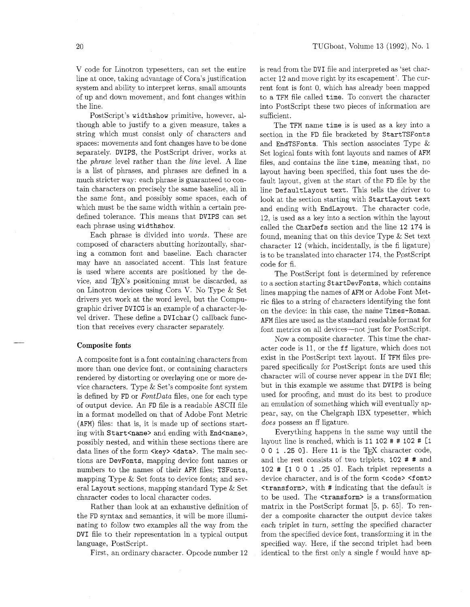V code for Linotron typesetters, can set the entire line at once, taking advantage of Cora's justification system and ability to interpret kerns, small amounts of up and down movement, and font changes within the line.

PostScript's widthshow primitive, however, although able to justify to a given measure, takes a string which must consist only of characters and spaces: movements and font changes have to be done separately. DVIPS, the PostScript driver, works at the *phrase* level rather than the *line* level. A line is a list of phrases, and phrases are defined in a much stricter way: each phrase is guaranteed to contain characters on precisely the same baseline, all in the same font, and possibly some spaces, each of which must be the same width within a certain predefined tolerance. This means that DVIPS can set each phrase using widthshow.

Each phrase is divided into *words.* These are composed of characters abutting horizontally. sharing a common font and baseline. Each character may have an associated accent. This last feature is used where accents are positioned by the device, and  $T_F X$ 's positioning must be discarded, as on Linotron devices using Cora V. No Type & Set drivers yet work at the word level, but the Compugraphic driver DVICG is an example of a character-level driver. These define a DVIchar () callback function that receives every character separately.

#### Composite fonts

A composite font is a font containing characters from more than one device font, or containing characters rendered by distorting or overlaying one or more device characters. Type & Set's composite font system is defined by FD or *FontData* files, one for each type of output device. An FD file is a readable ASCII file in a format modelled on that of Adobe Font Metric (AFM) files: that is, it is made up of sections starting with Start<name> and ending with End<name>, possibly nested, and within these sections there are data lines of the form <key> <data>. The main sections are DevFonts, mapping device font names or numbers to the names of their AFM files; TSFonts, mapping Type & Set fonts to device fonts; and several Layout sections, mapping standard Type & Set character codes to local character codes.

Rather than look at an exhaustive definition of the FD syntax and semantics, it will be more illuminating to follow two examples all the way from the DVI file to their representation in a typical output language, PostScript.

First, an ordinary character. Opcode number 12

is read from the DVI file and interpreted as 'set character 12 and move right by its escapement'. The current font is font 0, which has already been mapped to a TFM file called time. To convert the character into PostScript these two pieces of information are sufficient.

The TFM name time is is used as a key into a section in the FD file bracketed by StartTSFonts and EndTSFonts. This section associates Type & Set logical fonts with font layouts and names of AFM files, and contains the line time, meaning that, no layout having been specified, this font uses the default layout, given at the start of the FD file by the line Def aultLayout text. This tells the driver to look at the section starting with StartLayout text and ending with EndLayout. The character code, 12, is used as a key into a section within the layout called the CharDefs section and the line 12 174 is found, meaning that on this device Type & Set text character 12 (which, incidentally, is the fi ligature) is to be translated into character 174, the PostScript code for fi.

The PostScript font is determined by reference to a section starting StartDevFonts, which contains lines mapping the names of AFM or Adobe Font Metric files to a string of characters identifying the font on the device: in this case, the name Times-Roman. AFM files are used as the standard readable format for font metrics on all devices—not just for PostScript.

Now a composite character. This time the character code is 11, or the ff ligature, which does not exist in the PostScript text layout. If TFM files prepared specifically for PostScript fonts are used this character will of course never appear in the DVI file; but in this example we assume that DVIPS is being used for proofing, and must do its best to produce an emulation of something which will eventually appear, say, on the Chelgraph IBX typesetter, which *does* possess an ff ligature.

Everything happens in the same way until the layout line is reached, which is  $11 102 # # 102 # [1]$  $0 0 1$  . 25 0]. Here 11 is the T<sub>E</sub>X character code, and the rest consists of two triplets, 102 # # and 102 # [I 0 0 1 .25 01. Each triplet represents a device character, and is of the form <code> <font></code> <transform>, with # indicating that the default is to be used. The <transform> is a transformation matrix in the PostScript format  $[5, p. 65]$ . To render a composite character the output device takes each triplet in turn, setting the specified character from the specified device font, transforming it in the specified way. Here, if the second triplet had been identical to the first only a single f would have ap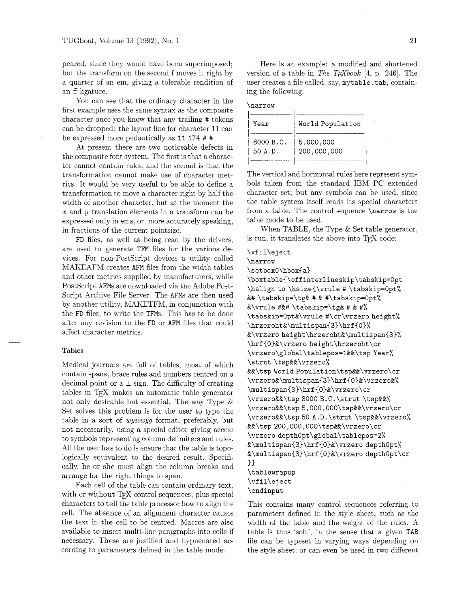peared, since they would have been superimposed: but the transform on the second f moves it right by a quarter of an em, giving a tolerable rendition of an ff ligature.

You can see that the ordinary character in the first example uses the same syntax as the composite character once you know that any trailing # tokens can be dropped: the layout line for character 11 can be expressed more pedantically as I1 174 # #.

At present there are two noticeable defects in the composite font system. The first is that a character cannot contain rules, and the second is that the transformation cannot make use of character metrics. It would be very useful to be able to define a transformation to move a character right by half the width of another character, but at the moment the  $x$  and  $y$  translation elements in a transform can be expressed only in ems, or. more accurately speaking, in fractions of the current pointsize.

FD files, as well as being read by the drivers. are used to generate TFM files for the various devices. For non-PostScript devices a utility called MAKEAFM creates AFM files from the width tables and other metrics supplied by manufacturers, while PostScript AFMs are downloaded via the Adobe Post-Script Archive File Server. The AFMs are then used by another utility, WIAKETFM. in conjunction with the FD files, to write the TFMs. This has to be done after any revision to the FD or AFM files that could affect character metrics.

#### **Tables**

Medical journals are full of tables, most of which contain spans, brace rules and numbers centred on a decimal point or  $a \pm sign$ . The difficulty of creating tables in T<sub>F</sub>X makes an automatic table generator not only desirable but essential. The way Type & Set solves this problem is for the user to type the table in a sort of wysiwyg format, preferably. but not necessarily, using a special editor giving access to symbols representing column delimiters and rules. All the user has to do is ensure that the table is topologically equivalent to the desired result. Specifically, he or she must align the column breaks and arrange for the right things to span.

Each cell of the table can contain ordinary text, with or without T<sub>F</sub>X control sequences, plus special characters to tell the table processor how to align the cell. The absence of an alignment character causes the text in the cell to be centred. Macros are also available to insert multi-line paragraphs into cells if necessary. These are justified and hyphenated according to parameters defined in the table mode.

Here is an example: a modified and shortened version of a table in *The T<sub>E</sub>Xbook* [4, p. 246]. The user creates a file called, say, **mytable. tab,** containing the following:

| м<br>۰. |  |
|---------|--|
|---------|--|

| Year      | World Population |
|-----------|------------------|
| 8000 B.C. | 5,000,000        |
| 50 A.D.   | 200,000,000      |

The vertical and horizontal rules here represent symbols taken from the standard IBM PC extended character set; but any symbols can be used, since the table system itself reads its special characters from a table. The control sequence **\narrow** is the table mode to be used.

When TABLE, the Type & Set table generator, is run, it translates the above into  $T_F X$  code:

```
\vfil\eject 
\narrow 
\setboxO\hbox{a) 
\boxtable{\off interlineskip\tabskip=Opt 
\halignto \hsize{\vrule # \tabskip=Opt% 
&# \tabskip=\tg& # & #\tabskip=Opt% 
&\vrule #&# \tabskip=\tg& # & #% 
\tabskip=Opt&\vrule #\cr\vrzero height% 
\hrzeroht&\multispan{3)\hrf{O)% 
&\vrzero height\hrzeroht&\multispan{3~% 
\hrf{O)&\vrzero height\hrzeroht\cr 
\vrzero\global\tablepos=l&&\tsp Year% 
\strut \tsp&&\vrzero% 
&&\tsp WorldPopulation\tsp&&\vrzero\cr 
\vrzero&\multispan{3)\hrf{O~&\vrzero&% 
\multispan{3)\hrf{O)&\vrzero\cr 
\vrzero&&\tsp 8000 B.C.\strut \tsp&&% 
\vrzero&&\tsp 5,000,000\tsp&&\vrzero\cr 
\vrzero&&\tsp 50 A.D.\strut \tsp&&\vrzero% 
&&\tsp 200,000,000\tsp&&\vrzero\cr 
\vrzero depthOpt\global\tablepos=2% 
&\multispan{3)\hrf{O)&\vrzero depthopt% 
&\multispan{3)\hrf{O)&\vrzero depthOpt\cr 
) 
\tablewrapup 
\vf il\e j ect 
\endinput
```
This contains many control sequences referring to parameters defined in the style sheet, such as the width of the table and the weight of the rules. A table is thus 'soft', in the sense that a given TAB file can be typeset in varying ways depending on the style sheet; or can even be used in two different